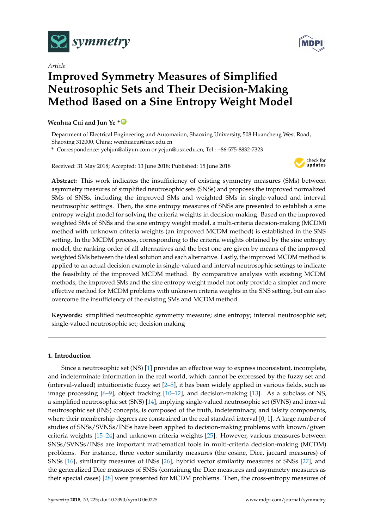

*Article* **Improved Symmetry Measures of Simplified Neutrosophic Sets and Their Decision-Making Method Based on a Sine Entropy Weight Model**

# **Wenhua Cui and Jun Ye \* [ID](https://orcid.org/0000-0003-2841-6529)**

Department of Electrical Engineering and Automation, Shaoxing University, 508 Huancheng West Road, Shaoxing 312000, China; wenhuacui@usx.edu.cn

**\*** Correspondence: yehjun@aliyun.com or yejun@usx.edu.cn; Tel.: +86-575-8832-7323

Received: 31 May 2018; Accepted: 13 June 2018; Published: 15 June 2018



**Abstract:** This work indicates the insufficiency of existing symmetry measures (SMs) between asymmetry measures of simplified neutrosophic sets (SNSs) and proposes the improved normalized SMs of SNSs, including the improved SMs and weighted SMs in single-valued and interval neutrosophic settings. Then, the sine entropy measures of SNSs are presented to establish a sine entropy weight model for solving the criteria weights in decision-making. Based on the improved weighted SMs of SNSs and the sine entropy weight model, a multi-criteria decision-making (MCDM) method with unknown criteria weights (an improved MCDM method) is established in the SNS setting. In the MCDM process, corresponding to the criteria weights obtained by the sine entropy model, the ranking order of all alternatives and the best one are given by means of the improved weighted SMs between the ideal solution and each alternative. Lastly, the improved MCDM method is applied to an actual decision example in single-valued and interval neutrosophic settings to indicate the feasibility of the improved MCDM method. By comparative analysis with existing MCDM methods, the improved SMs and the sine entropy weight model not only provide a simpler and more effective method for MCDM problems with unknown criteria weights in the SNS setting, but can also overcome the insufficiency of the existing SMs and MCDM method.

**Keywords:** simplified neutrosophic symmetry measure; sine entropy; interval neutrosophic set; single-valued neutrosophic set; decision making

## **1. Introduction**

Since a neutrosophic set (NS) [\[1\]](#page-9-0) provides an effective way to express inconsistent, incomplete, and indeterminate information in the real world, which cannot be expressed by the fuzzy set and (interval-valued) intuitionistic fuzzy set [\[2–](#page-9-1)[5\]](#page-9-2), it has been widely applied in various fields, such as image processing [\[6](#page-10-0)[–9\]](#page-10-1), object tracking [\[10–](#page-10-2)[12\]](#page-10-3), and decision-making [\[13\]](#page-10-4). As a subclass of NS, a simplified neutrosophic set (SNS) [\[14\]](#page-10-5), implying single-valued neutrosophic set (SVNS) and interval neutrosophic set (INS) concepts, is composed of the truth, indeterminacy, and falsity components, where their membership degrees are constrained in the real standard interval [0, 1]. A large number of studies of SNSs/SVNSs/INSs have been applied to decision-making problems with known/given criteria weights [\[15–](#page-10-6)[24\]](#page-10-7) and unknown criteria weights [\[25\]](#page-10-8). However, various measures between SNSs/SVNSs/INSs are important mathematical tools in multi-criteria decision-making (MCDM) problems. For instance, three vector similarity measures (the cosine, Dice, jaccard measures) of SNSs [\[16\]](#page-10-9), similarity measures of INSs [\[26\]](#page-10-10), hybrid vector similarity measures of SNSs [\[27\]](#page-10-11), and the generalized Dice measures of SNSs (containing the Dice measures and asymmetry measures as their special cases) [\[28\]](#page-10-12) were presented for MCDM problems. Then, the cross-entropy measures of

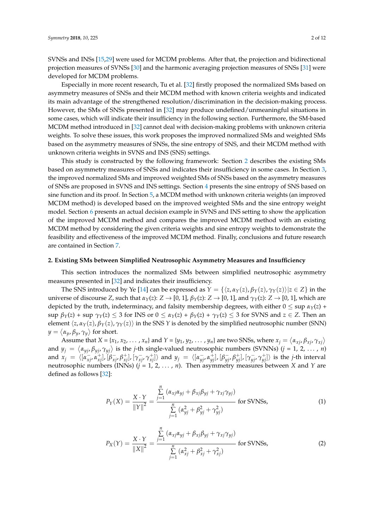SVNSs and INSs [\[15,](#page-10-6)[29\]](#page-10-13) were used for MCDM problems. After that, the projection and bidirectional projection measures of SVNSs [\[30\]](#page-10-14) and the harmonic averaging projection measures of SNSs [\[31\]](#page-11-0) were developed for MCDM problems.

Especially in more recent research, Tu et al. [\[32\]](#page-11-1) firstly proposed the normalized SMs based on asymmetry measures of SNSs and their MCDM method with known criteria weights and indicated its main advantage of the strengthened resolution/discrimination in the decision-making process. However, the SMs of SNSs presented in [\[32\]](#page-11-1) may produce undefined/unmeaningful situations in some cases, which will indicate their insufficiency in the following section. Furthermore, the SM-based MCDM method introduced in [\[32\]](#page-11-1) cannot deal with decision-making problems with unknown criteria weights. To solve these issues, this work proposes the improved normalized SMs and weighted SMs based on the asymmetry measures of SNSs, the sine entropy of SNS, and their MCDM method with unknown criteria weights in SVNS and INS (SNS) settings.

This study is constructed by the following framework: Section [2](#page-1-0) describes the existing SMs based on asymmetry measures of SNSs and indicates their insufficiency in some cases. In Section [3,](#page-2-0) the improved normalized SMs and improved weighted SMs of SNSs based on the asymmetry measures of SNSs are proposed in SVNS and INS settings. Section [4](#page-4-0) presents the sine entropy of SNS based on sine function and its proof. In Section [5,](#page-5-0) a MCDM method with unknown criteria weights (an improved MCDM method) is developed based on the improved weighted SMs and the sine entropy weight model. Section [6](#page-7-0) presents an actual decision example in SVNS and INS setting to show the application of the improved MCDM method and compares the improved MCDM method with an existing MCDM method by considering the given criteria weights and sine entropy weights to demonstrate the feasibility and effectiveness of the improved MCDM method. Finally, conclusions and future research are contained in Section [7.](#page-9-3)

## <span id="page-1-0"></span>**2. Existing SMs between Simplified Neutrosophic Asymmetry Measures and Insufficiency**

This section introduces the normalized SMs between simplified neutrosophic asymmetry measures presented in [\[32\]](#page-11-1) and indicates their insufficiency.

The SNS introduced by Ye [\[14\]](#page-10-5) can be expressed as  $Y = \{\langle z, \alpha_Y(z), \beta_Y(z), \gamma_Y(z) \rangle | z \in Z \}$  in the universe of discourse *Z*, such that *αY*(*z*): *Z* → [0, 1], *βY*(*z*): *Z* → [0, 1], and *γY*(*z*): *Z* → [0, 1], which are depicted by the truth, indeterminacy, and falsity membership degrees, with either  $0 \leq \sup \alpha_Y(z)$  +  $\sup \beta_Y(z) + \sup \gamma_Y(z) \leq 3$  for INS or  $0 \leq \alpha_Y(z) + \beta_Y(z) + \gamma_Y(z) \leq 3$  for SVNS and  $z \in \mathbb{Z}$ . Then an element  $\langle z, \alpha_Y(z), \beta_Y(z), \gamma_Y(z) \rangle$  in the SNS *Y* is denoted by the simplified neutrosophic number (SNN)  $y = \langle \alpha_y, \beta_y, \gamma_y \rangle$  for short.

Assume that  $X = \{x_1, x_2, ..., x_n\}$  and  $Y = \{y_1, y_2, ..., y_n\}$  are two SNSs, where  $x_j = \langle \alpha_{xj}, \beta_{xj}, \gamma_{xj} \rangle$ and  $y_j = \langle \alpha_{yj}, \beta_{yj}, \gamma_{yj} \rangle$  is the *j*-th single-valued neutrosophic numbers (SVNNs) (*j* = 1, 2, ..., *n*) and  $x_j = \langle [\alpha_{xj}^-, \alpha_{xj}^+], [\beta_{xj}^-, \beta_{xj}^+], [\gamma_{xj}^-, \gamma_{xj}^+] \rangle$  and  $y_j = \langle [\alpha_{yj}^-, \alpha_{yj}^+], [\beta_{yj}^-, \beta_{yj}^+], [\gamma_{yj}^-, \gamma_{yj}^+] \rangle$  is the *j*-th interval neutrosophic numbers (INNs)  $(j = 1, 2, ..., n)$ . Then asymmetry measures between *X* and *Y* are defined as follows [\[32\]](#page-11-1):

$$
P_Y(X) = \frac{X \cdot Y}{\|Y\|^2} = \frac{\sum\limits_{j=1}^n (\alpha_{xj}\alpha_{yj} + \beta_{xj}\beta_{yj} + \gamma_{xj}\gamma_{yj})}{\sum\limits_{j=1}^n (\alpha_{yj}^2 + \beta_{yj}^2 + \gamma_{yj}^2)}
$$
 for SVMSs, (1)

$$
P_X(Y) = \frac{X \cdot Y}{\|X\|^2} = \frac{\sum\limits_{j=1}^n (\alpha_{xj}\alpha_{yj} + \beta_{xj}\beta_{yj} + \gamma_{xj}\gamma_{yj})}{\sum\limits_{j=1}^n (\alpha_{xj}^2 + \beta_{xj}^2 + \gamma_{xj}^2)} \text{ for SVMSs},\tag{2}
$$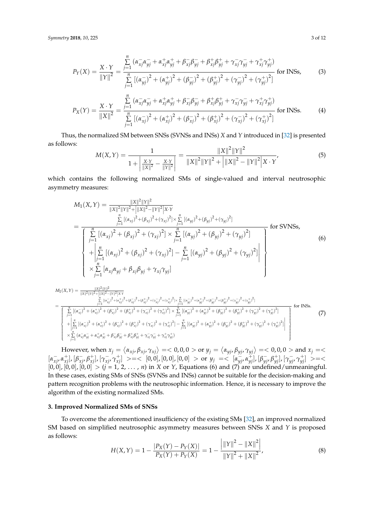$$
P_{Y}(X) = \frac{X \cdot Y}{\|Y\|^{2}} = \frac{\sum_{j=1}^{n} (\alpha_{xj}^{-} \alpha_{yj}^{-} + \alpha_{xj}^{+} \alpha_{yj}^{+} + \beta_{xj}^{-} \beta_{yj}^{-} + \beta_{xj}^{+} \beta_{yj}^{+} + \gamma_{xj}^{-} \gamma_{yj}^{-} + \gamma_{xj}^{+} \gamma_{yj}^{+})}{\sum_{j=1}^{n} [(\alpha_{yj}^{-})^{2} + (\alpha_{yj}^{+})^{2} + (\beta_{yj}^{-})^{2} + (\gamma_{yj}^{-})^{2} + (\gamma_{yj}^{+})^{2}]}
$$
 for INSs, (3)

$$
P_X(Y) = \frac{X \cdot Y}{\|X\|^2} = \frac{\sum\limits_{j=1}^{N} (\alpha_{xj}^{-} \alpha_{yj}^{-} + \alpha_{xj}^{+} \alpha_{yj}^{+} + \beta_{xj}^{-} \beta_{yj}^{-} + \beta_{xj}^{+} \beta_{yj}^{+} + \gamma_{xj}^{-} \gamma_{yj}^{-} + \gamma_{xj}^{+} \gamma_{yj}^{+})}{\sum\limits_{j=1}^{N} [(\alpha_{xj}^{-})^2 + (\alpha_{xj}^{+})^2 + (\beta_{xj}^{-})^2 + (\beta_{xj}^{+})^2 + (\gamma_{xj}^{-})^2 + (\gamma_{xj}^{+})^2]} \text{ for INSs.}
$$
(4)

Thus, the normalized SM between SNSs (SVNSs and INSs) *X* and *Y* introduced in [\[32\]](#page-11-1) is presented as follows:

$$
M(X,Y) = \frac{1}{1 + \left|\frac{X \cdot Y}{\|X\|^2} - \frac{X \cdot Y}{\|Y\|^2}\right|} = \frac{\|X\|^2 \|Y\|^2}{\|X\|^2 \|Y\|^2 + \left|\|X\|^2 - \|Y\|^2\right| X \cdot Y},\tag{5}
$$

which contains the following normalized SMs of single-valued and interval neutrosophic asymmetry measures:

$$
M_{1}(X,Y) = \frac{\|X\|^{2}\|Y\|^{2}}{\|X\|^{2}\|Y\|^{2}+\|X\|^{2}-\|Y\|^{2}\|X\cdot Y}
$$
  
\n
$$
= \frac{\sum_{j=1}^{n}[(\alpha_{xj})^{2}+(\beta_{xj})^{2}+(\gamma_{xj})^{2}]\times \sum_{j=1}^{n}[(\alpha_{yj})^{2}+(\beta_{yj})^{2}+(\gamma_{yj})^{2}]}{\left[\sum_{j=1}^{n}[(\alpha_{xj})^{2}+(\beta_{xj})^{2}+(\gamma_{xj})^{2}]\times \sum_{j=1}^{n}[(\alpha_{yj})^{2}+(\beta_{yj})^{2}+(\gamma_{yj})^{2}]}+\left(\gamma_{yj}\right)^{2}\right]} \text{ for SVMSs,}
$$
  
\n
$$
+ \left|\sum_{j=1}^{n}[(\alpha_{xj})^{2}+(\beta_{xj})^{2}+(\gamma_{xj})^{2}]-\sum_{j=1}^{n}[(\alpha_{yj})^{2}+(\beta_{yj})^{2}+(\gamma_{yj})^{2}]\right|
$$
  
\n
$$
\times \sum_{j=1}^{n}[\alpha_{xj}\alpha_{yj}+\beta_{xj}\beta_{yj}+\gamma_{xj}\gamma_{yj}]
$$
  
\n(6)

$$
M_{2}(X,Y) = \frac{\|x\|^{2}\|y\|^{2}}{\|x\|^{2}+\|x\|^{2}-\|y\|^{2}\{x\}}\n= \frac{\sum_{j=1}^{1} \left[ (\alpha_{xy}^{-})^{2}+(\alpha_{xy}^{+})^{2}+(\beta_{xy}^{-})^{2}+(\beta_{xy}^{+})^{2}+(\gamma_{xy}^{-})^{2}+(\alpha_{yy}^{+})^{2}+(\beta_{yy}^{-})^{2}+(\beta_{yy}^{-})^{2}+(\beta_{yy}^{-})^{2}+(\gamma_{yy}^{+})^{2}\right]}{\left[\sum_{j=1}^{n} \left[ (\alpha_{xy}^{-})^{2}+(\alpha_{xy}^{+})^{2}+(\beta_{xy}^{-})^{2}+(\beta_{xy}^{-})^{2}+(\gamma_{xy}^{-})^{2}+(\gamma_{xy}^{+})^{2}+(\beta_{yy}^{-})^{2}+(\beta_{yy}^{-})^{2}+(\beta_{yy}^{-})^{2}+(\gamma_{yy}^{+})^{2}\right]+(\beta_{yy}^{-})^{2}+(\gamma_{yy}^{+})^{2}\right]} \text{ for INS}\\ + \left|\sum_{j=1}^{n} \left[ (\alpha_{xy}^{-})^{2}+(\alpha_{xy}^{+})^{2}+(\beta_{xy}^{-})^{2}+(\beta_{xy}^{-})^{2}+(\gamma_{xy}^{-})^{2}+(\gamma_{xy}^{+})^{2}\right] - \sum_{j=1}^{n} \left[ (\alpha_{yy}^{-})^{2}+(\alpha_{yy}^{+})^{2}+(\beta_{yy}^{-})^{2}+(\gamma_{yy}^{-})^{2}+(\gamma_{yy}^{+})^{2}\right] \right] \times \sum_{j=1}^{n} \left[ (\alpha_{xy}^{-})^{2}+(\alpha_{xy}^{+})^{2}+(\beta_{yy}^{-})^{2}+(\beta_{yy}^{-})^{2}+(\gamma_{yy}^{-})^{2}\right] \times \left[\sum_{j=1}^{n} \left[ (\alpha_{xy}^{-})^{2}+\alpha_{xy}^{+}\alpha_{xy}^{+}+\beta_{xy}^{+}\beta_{yy}^{-}+\beta_{xy}^{+}\beta_{yy}^{+}+\gamma_{xy}^{-}\gamma_{yy}^{-}+\gamma_{xy}^{+}\gamma_{yy}^{+}\right]\right]
$$
\n
$$
(7)
$$

However, when  $x_j = \langle \alpha_{xj}, \beta_{xj}, \gamma_{xj} \rangle =$  < 0,0,0 > or  $y_j = \langle \alpha_{yj}, \beta_{yj}, \gamma_{yj} \rangle =$  < 0,0,0 > and  $x_j =$  $[\alpha_{xj}^-, \alpha_{xj}^+]$ ,  $[\beta_{xj}^-, \beta_{xj}^+]$ ,  $[\gamma_{xj}^-, \gamma_{xj}^+]$   $> = <\, [0,0]$ ,  $[0,0]$ ,  $[0,0] > \text{or } y_j = <\, [\alpha_{yj}^-, \alpha_{yj}^+]$ ,  $[\beta_{yj}^-, \beta_{yj}^+]$ ,  $[\gamma_{yj}^-, \gamma_{yj}^+] > = <\,$  $[0, 0]$ ,  $[0, 0]$ ,  $[0, 0]$   $>$   $(j = 1, 2, ..., n)$  in *X* or *Y*, Equations (6) and (7) are undefined/unmeaningful. In these cases, existing SMs of SNSs (SVNSs and INSs) cannot be suitable for the decision-making and pattern recognition problems with the neutrosophic information. Hence, it is necessary to improve the algorithm of the existing normalized SMs.

### <span id="page-2-0"></span>**3. Improved Normalized SMs of SNSs**

To overcome the aforementioned insufficiency of the existing SMs [\[32\]](#page-11-1), an improved normalized SM based on simplified neutrosophic asymmetry measures between SNSs *X* and *Y* is proposed as follows:

$$
H(X,Y) = 1 - \frac{|P_X(Y) - P_Y(X)|}{P_X(Y) + P_Y(X)} = 1 - \frac{\left| \|Y\|^2 - \|X\|^2 \right|}{\|Y\|^2 + \|X\|^2},\tag{8}
$$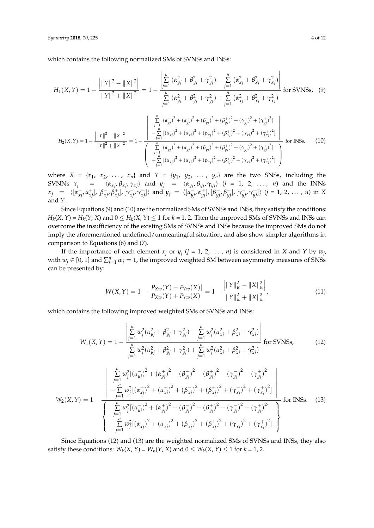which contains the following normalized SMs of SVNSs and INSs:

$$
H_{1}(X,Y) = 1 - \frac{\left|\|Y\|^{2} - \|X\|^{2}\right|}{\|Y\|^{2} + \|X\|^{2}} = 1 - \frac{\left|\sum_{j=1}^{n} (\alpha_{yj}^{2} + \beta_{yj}^{2} + \gamma_{yj}^{2}) - \sum_{j=1}^{n} (\alpha_{xj}^{2} + \beta_{xj}^{2} + \gamma_{xj}^{2})\right|}{\sum_{j=1}^{n} (\alpha_{yj}^{2} + \beta_{yj}^{2} + \gamma_{yj}^{2}) + \sum_{j=1}^{n} (\alpha_{xj}^{2} + \beta_{xj}^{2} + \gamma_{xj}^{2})}
$$
 for SVMs, (9)  

$$
H_{2}(X,Y) = 1 - \frac{\left|\|Y\|^{2} - \|X\|^{2}\right|}{\|Y\|^{2} + \|X\|^{2}} = 1 - \frac{\left|\sum_{j=1}^{n} [(\alpha_{yj}^{2})^{2} + (\alpha_{yj}^{2})^{2} + (\beta_{yj}^{2})^{2} + (\beta_{yj}^{2})^{2} + (\gamma_{yj}^{2})^{2} + (\gamma_{yj}^{2})^{2}\right|}{\left(\sum_{j=1}^{n} [(\alpha_{yj}^{2})^{2} + (\alpha_{yj}^{2})^{2} + (\beta_{yj}^{2})^{2} + (\beta_{yj}^{2})^{2} + (\gamma_{yj}^{2})^{2} + (\gamma_{yj}^{2})^{2}\right)}
$$
for INSs, (10)  

$$
+ \sum_{j=1}^{n} [(\alpha_{yj}^{2})^{2} + (\alpha_{yj}^{2})^{2} + (\beta_{yj}^{2})^{2} + (\beta_{yj}^{2})^{2} + (\gamma_{yj}^{2})^{2} + (\gamma_{yj}^{2})^{2}]
$$

where  $X = \{x_1, x_2, \ldots, x_n\}$  and  $Y = \{y_1, y_2, \ldots, y_n\}$  are the two SNSs, including the SVNNs  $x_j$  =  $\langle \alpha_{xj}, \beta_{xj}, \gamma_{xj} \rangle$  and  $y_j$  =  $\langle \alpha_{yj}, \beta_{yj}, \gamma_{yj} \rangle$  (*j* = 1, 2, ..., *n*) and the INNs  $x_j = \langle [\alpha_{xj}^-, \alpha_{xj}^+] , [\beta_{xj}^-, \beta_{xj}^+] , [\gamma_{xj}^-, \gamma_{xj}^+] \rangle$  and  $y_j = \langle [\alpha_{yj}^-, \alpha_{yj}^+] , [\beta_{yj}^-, \beta_{yj}^+] , [\gamma_{yj}^-, \gamma_{yj}^+] \rangle$   $(j = 1, 2, ..., n)$  in X and *Y*.

Since Equations (9) and (10) are the normalized SMs of SVNSs and INSs, they satisfy the conditions:  $H_k(X, Y) = H_k(Y, X)$  and  $0 \le H_k(X, Y) \le 1$  for  $k = 1, 2$ . Then the improved SMs of SVNSs and INSs can overcome the insufficiency of the existing SMs of SVNSs and INSs because the improved SMs do not imply the aforementioned undefined/unmeaningful situation, and also show simpler algorithms in comparison to Equations (6) and (7).

If the importance of each element  $x_j$  or  $y_j$  ( $j = 1, 2, ..., n$ ) is considered in *X* and *Y* by  $w_j$ , with  $w_j \in [0, 1]$  and  $\sum_{j=1}^n w_j = 1$ , the improved weighted SM between asymmetry measures of SNSs can be presented by:

$$
W(X,Y) = 1 - \frac{|P_{Xw}(Y) - P_{Yw}(X)|}{P_{Xw}(Y) + P_{Yw}(X)} = 1 - \frac{\left| ||Y||_w^2 - ||X||_w^2 \right|}{||Y||_w^2 + ||X||_w^2},\tag{11}
$$

which contains the following improved weighted SMs of SVNSs and INSs:

$$
W_{1}(X,Y) = 1 - \frac{\left| \sum_{j=1}^{n} w_{j}^{2} (\alpha_{yj}^{2} + \beta_{yj}^{2} + \gamma_{yj}^{2}) - \sum_{j=1}^{n} w_{j}^{2} (\alpha_{xj}^{2} + \beta_{xj}^{2} + \gamma_{xj}^{2}) \right|}{\sum_{j=1}^{n} w_{j}^{2} (\alpha_{yj}^{2} + \beta_{yj}^{2} + \gamma_{yj}^{2}) + \sum_{j=1}^{n} w_{j}^{2} (\alpha_{xj}^{2} + \beta_{xj}^{2} + \gamma_{xj}^{2})}
$$
 for SVMSs, (12)  

$$
\frac{\left| \sum_{j=1}^{n} w_{j}^{2} [(\alpha_{yj}^{-})^{2} + (\alpha_{yj}^{+})^{2} + (\beta_{yj}^{-})^{2} + (\beta_{yj}^{+})^{2} + (\gamma_{yj}^{-})^{2} + (\gamma_{yj}^{+})^{2} \right|}{-\sum_{j=1}^{n} w_{j}^{2} [(\alpha_{xj}^{-})^{2} + (\alpha_{xj}^{+})^{2} + (\beta_{xj}^{-})^{2} + (\beta_{xj}^{+})^{2} + (\gamma_{xj}^{-})^{2} + (\gamma_{yj}^{+})^{2}]}
$$
  
for INSs. (13)  

$$
\left\{ \sum_{j=1}^{n} w_{j}^{2} [(\alpha_{yj}^{-})^{2} + (\alpha_{yj}^{+})^{2} + (\beta_{yj}^{-})^{2} + (\beta_{yj}^{+})^{2} + (\gamma_{yj}^{-})^{2} + (\gamma_{yj}^{+})^{2}] + \sum_{j=1}^{n} w_{j}^{2} [(\alpha_{xj}^{-})^{2} + (\alpha_{xj}^{+})^{2} + (\beta_{xj}^{-})^{2} + (\gamma_{xj}^{-})^{2} + (\gamma_{xj}^{+})^{2}] \right\}
$$
for INSs. (13)

Since Equations (12) and (13) are the weighted normalized SMs of SVNSs and INSs, they also satisfy these conditions:  $W_k(X, Y) = W_k(Y, X)$  and  $0 \leq W_k(X, Y) \leq 1$  for  $k = 1, 2$ .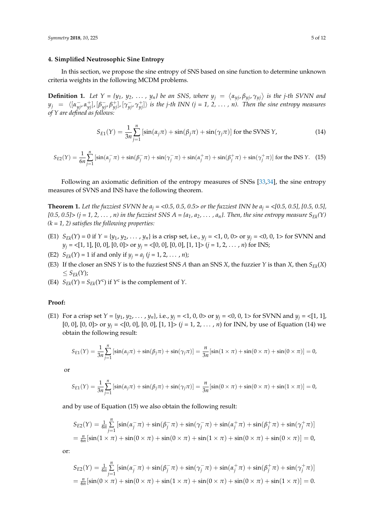## <span id="page-4-0"></span>**4. Simplified Neutrosophic Sine Entropy**

In this section, we propose the sine entropy of SNS based on sine function to determine unknown criteria weights in the following MCDM problems.

**Definition 1.** Let  $Y = \{y_1, y_2, ..., y_n\}$  be an SNS, where  $y_j = \langle \alpha_{y_j}, \beta_{y_j}, \gamma_{y_j} \rangle$  is the j-th SVNN and  $y_j$  =  $\langle [\alpha_{yj}^-, \alpha_{yj}^+], [\beta_{yj}^-, \beta_{yj}^+], [\gamma_{yj}^-, \gamma_{yj}^+]\rangle$  is the j-th INN (j = 1, 2, ..., n). Then the sine entropy measures *of Y are defined as follows:*

$$
S_{E1}(Y) = \frac{1}{3n} \sum_{j=1}^{n} \left[ \sin(\alpha_j \pi) + \sin(\beta_j \pi) + \sin(\gamma_j \pi) \right] \text{ for the SVMS } Y,
$$
 (14)

$$
S_{E2}(Y) = \frac{1}{6n} \sum_{j=1}^{n} \left[ \sin(\alpha_j^- \pi) + \sin(\beta_j^- \pi) + \sin(\gamma_j^- \pi) + \sin(\alpha_j^+ \pi) + \sin(\beta_j^+ \pi) + \sin(\gamma_j^+ \pi) \right] \text{ for the INS Y.} \tag{15}
$$

Following an axiomatic definition of the entropy measures of SNSs [\[33](#page-11-2)[,34\]](#page-11-3), the sine entropy measures of SVNS and INS have the following theorem.

**Theorem 1.** Let the fuzziest SVNN be  $a_i = 0.5$ , 0.5, 0.5> or the fuzziest INN be  $a_i = 0.5$ , 0.5], [0.5, 0.5], *[0.5, 0.5]*  $\le$  *(j = 1, 2, ..., n) in the fuzziest SNS A = {* $a_1, a_2, \ldots, a_n$ *}. Then, the sine entropy measure*  $S_{Ek}(Y)$ *(k = 1, 2) satisfies the following properties:*

- (E1)  $S_{Fk}(Y) = 0$  if  $Y = \{y_1, y_2, ..., y_n\}$  is a crisp set, i.e.,  $y_i = \langle 1, 0, 0 \rangle$  or  $y_i = \langle 0, 0, 1 \rangle$  for SVNN and  $y_j = \langle [1, 1], [0, 0], [0, 0] \rangle$  or  $y_j = \langle [0, 0], [0, 0], [1, 1] \rangle$   $(j = 1, 2, ..., n)$  for INS;
- (E2)  $S_{E_k}(Y) = 1$  if and only if  $y_j = a_j$  ( $j = 1, 2, ..., n$ );
- (E3) If the closer an SNS  $Y$  is to the fuzziest SNS  $A$  than an SNS  $X$ , the fuzzier  $Y$  is than  $X$ , then  $S_{EK}(X)$ ≤ *SEk*(*Y*);
- (E4)  $S_{Ek}(Y) = S_{Ek}(Y^c)$  if  $Y^c$  is the complement of *Y*.

#### **Proof:**

(E1) For a crisp set  $Y = \{y_1, y_2, \dots, y_n\}$ , i.e.,  $y_i = \langle 1, 0, 0 \rangle$  or  $y_i = \langle 0, 0, 1 \rangle$  for SVNN and  $y_i = \langle 1, 1 \rangle$ , [0, 0], [0, 0]> or  $y_j = \langle [0, 0], [0, 0], [1, 1] \rangle$  ( $j = 1, 2, ..., n$ ) for INN, by use of Equation (14) we obtain the following result:

$$
S_{E1}(Y) = \frac{1}{3n} \sum_{j=1}^{n} \left[ \sin(\alpha_j \pi) + \sin(\beta_j \pi) + \sin(\gamma_j \pi) \right] = \frac{n}{3n} \left[ \sin(1 \times \pi) + \sin(0 \times \pi) + \sin(0 \times \pi) \right] = 0,
$$

or

$$
S_{E1}(Y) = \frac{1}{3n} \sum_{j=1}^{n} \left[ \sin(\alpha_j \pi) + \sin(\beta_j \pi) + \sin(\gamma_j \pi) \right] = \frac{n}{3n} \left[ \sin(0 \times \pi) + \sin(0 \times \pi) + \sin(1 \times \pi) \right] = 0,
$$

and by use of Equation (15) we also obtain the following result:

$$
S_{E2}(Y) = \frac{1}{6n} \sum_{j=1}^{n} \left[ \sin(\alpha_j^{-} \pi) + \sin(\beta_j^{-} \pi) + \sin(\gamma_j^{-} \pi) + \sin(\alpha_j^{+} \pi) + \sin(\beta_j^{+} \pi) + \sin(\gamma_j^{+} \pi) \right]
$$
  
=  $\frac{n}{6n} [\sin(1 \times \pi) + \sin(0 \times \pi) + \sin(0 \times \pi) + \sin(1 \times \pi) + \sin(0 \times \pi) + \sin(0 \times \pi)] = 0,$ 

or:

$$
S_{E2}(Y) = \frac{1}{6n} \sum_{j=1}^{n} \left[ \sin(\alpha_j^-\pi) + \sin(\beta_j^-\pi) + \sin(\gamma_j^-\pi) + \sin(\alpha_j^+\pi) + \sin(\beta_j^+\pi) + \sin(\gamma_j^+\pi) \right]
$$
  
=  $\frac{n}{6n} [\sin(0 \times \pi) + \sin(0 \times \pi) + \sin(1 \times \pi) + \sin(0 \times \pi) + \sin(0 \times \pi) + \sin(1 \times \pi)] = 0.$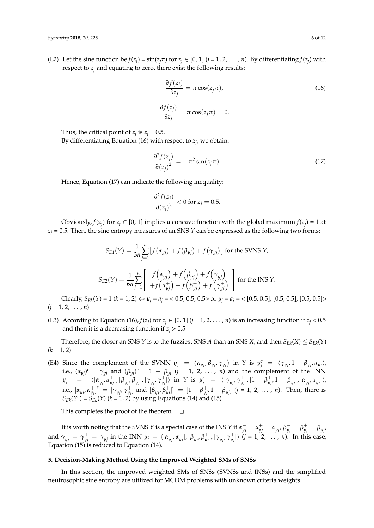(E2) Let the sine function be  $f(z_j) = \sin(z_j \pi)$  for  $z_j \in [0, 1]$  ( $j = 1, 2, ..., n$ ). By differentiating  $f(z_j)$  with respect to *z<sup>j</sup>* and equating to zero, there exist the following results:

$$
\frac{\partial f(z_j)}{\partial z_j} = \pi \cos(z_j \pi),
$$
\n
$$
\frac{\partial f(z_j)}{\partial z_j} = \pi \cos(z_j \pi) = 0.
$$
\n(16)

Thus, the critical point of  $z_j$  is  $z_j$  = 0.5.

By differentiating Equation (16) with respect to *z<sup>j</sup>* , we obtain:

$$
\frac{\partial^2 f(z_j)}{\partial (z_j)^2} = -\pi^2 \sin(z_j \pi). \tag{17}
$$

Hence, Equation (17) can indicate the following inequality:

$$
\frac{\partial^2 f(z_j)}{\partial (z_j)^2} < 0 \text{ for } z_j = 0.5.
$$

Obviously,  $f(z_j)$  for  $z_j \in [0, 1]$  implies a concave function with the global maximum  $f(z_j) = 1$  at  $z_j$  = 0.5. Then, the sine entropy measures of an SNS *Y* can be expressed as the following two forms:

$$
S_{E1}(Y) = \frac{1}{3n} \sum_{j=1}^{n} \left[ f(\alpha_{yj}) + f(\beta_{yj}) + f(\gamma_{yj}) \right] \text{ for the SVNS } Y,
$$
  

$$
S_{E2}(Y) = \frac{1}{6n} \sum_{j=1}^{n} \left[ f(\alpha_{yj}^{-}) + f(\beta_{yj}^{-}) + f(\gamma_{yj}^{-}) \right] \text{ for the INS } Y.
$$

Clearly, *S*<sub>*Ek*</sub>(*Y*) = 1 (*k* = 1, 2) ⇔ *y<sub>j</sub>* =  $a_j$  = < 0.5, 0.5, 0.5> or *y<sub>j</sub>* =  $a_j$  = < [0.5, 0.5], [0.5, 0.5], [0.5, 0.5]>  $(j = 1, 2, \ldots, n).$ 

(E3) According to Equation (16),  $f(z_j)$  for  $z_j \in [0, 1]$  ( $j = 1, 2, ..., n$ ) is an increasing function if  $z_j < 0.5$ and then it is a decreasing function if  $z_i > 0.5$ .

Therefore, the closer an SNS *Y* is to the fuzziest SNS *A* than an SNS *X*, and then  $S_{Ek}(X) \leq S_{Ek}(Y)$  $(k = 1, 2)$ .

(E4) Since the complement of the SVNN  $y_j = \langle \alpha_{yj}, \beta_{yj}, \gamma_{yj} \rangle$  in *Y* is  $y_j^c = \langle \gamma_{yj}, 1 - \beta_{yj}, \alpha_{yj} \rangle$ , i.e.,  $(\alpha_{yj})^c = \gamma_{yj}$  and  $(\beta_{yj})^c = 1 - \beta_{yj}$  (*j* = 1, 2, ..., *n*) and the complement of the INN  $y_j$  =  $\langle [\alpha_{yj}^-, \alpha_{yj}^+] , [\beta_{yj}^-, \beta_{yj}^+] , [\gamma_{yj}^-, \gamma_{yj}^+] \rangle$  in Y is  $y_j^c$  =  $\langle [\gamma_{yj}^-, \gamma_{yj}^+] , [1 - \beta_{yj}^+ , 1 - \beta_{yj}^- ] , [\alpha_{yj}^-, \alpha_{yj}^+ ] \rangle$ i.e.,  $[\alpha_{yj}^-, \alpha_{yj}^+]^{c} = [\gamma_{yj}^-, \gamma_{yj}^+]$  and  $[\beta_{yj}^-, \beta_{yj}^+]^{c} = [1 - \beta_{yj}^+, 1 - \beta_{yj}^-]$   $(j = 1, 2, ..., n)$ . Then, there is  $S_{Ek}(Y^c) = S_{Ek}'(Y)$  ( $k = 1, 2$ ) by using Equations (14) and (15).

This completes the proof of the theorem.  $\square$ 

It is worth noting that the SVNS *Y* is a special case of the INS *Y* if  $\alpha_{yj}^- = \alpha_{yj}^+ = \alpha_{yj'}$ ,  $\beta_{yj}^- = \beta_{yj'}^+ = \beta_{yj'}$ and  $\gamma_{yj}^- = \gamma_{yj}^+ = \gamma_{yj}$  in the INN  $y_j = \langle [\alpha_{yj}^-, \alpha_{yj}^+] , [\beta_{yj}^-, \beta_{yj}^+] , [\gamma_{yj}^-, \gamma_{yj}^+] \rangle$   $(j = 1, 2, ..., n)$ . In this case, Equation (15) is reduced to Equation (14).

#### <span id="page-5-0"></span>**5. Decision-Making Method Using the Improved Weighted SMs of SNSs**

In this section, the improved weighted SMs of SNSs (SVNSs and INSs) and the simplified neutrosophic sine entropy are utilized for MCDM problems with unknown criteria weights.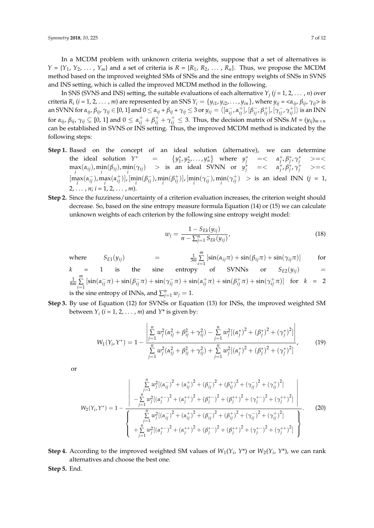In a MCDM problem with unknown criteria weights, suppose that a set of alternatives is  $Y = \{Y_1, Y_2, \ldots, Y_m\}$  and a set of criteria is  $R = \{R_1, R_2, \ldots, R_n\}$ . Thus, we propose the MCDM method based on the improved weighted SMs of SNSs and the sine entropy weights of SNSs in SVNS and INS setting, which is called the improved MCDM method in the following.

In SNS (SVNS and INS) setting, the suitable evaluations of each alternative *Y<sup>j</sup>* (*j* = 1, 2, . . . , *n*) over criteria  $R_i$  ( $i = 1, 2, ..., m$ ) are represented by an SNS  $Y_i = \{y_{i1}, y_{i2}, ..., y_{in}\}$ , where  $y_{ij} = \langle \alpha_{ij}, \beta_{ij}, \gamma_{ij} \rangle$  is an SVNN for  $\alpha_{ij}$ ,  $\beta_{ij}$ ,  $\gamma_{ij}\in$  [0, 1] and  $0\leq\alpha_{ij}+\beta_{ij}+\gamma_{ij}\leq$  3 or  $y_{ij}=\langle[\alpha_{ij}^-\,,\alpha_{ij}^+],[\beta_{ij}^-\,,\beta_{ij}^+],[\gamma_{ij}^-\,,\gamma_{ij}^+]\rangle$  is an INN for  $\alpha_{ij}$ ,  $\beta_{ij}$ ,  $\gamma_{ij} \subseteq [0, 1]$  and  $0 \leq \alpha_{ij}^+ + \beta_{ij}^+ + \gamma_{ij}^+ \leq 3$ . Thus, the decision matrix of SNSs  $M = (y_{ij})_{m \times n}$ can be established in SVNS or INS setting. Thus, the improved MCDM method is indicated by the following steps:

- **Step 1.** Based on the concept of an ideal solution (alternative), we can determine the ideal solution  $Y^*$  =  $\{y_1^*, y_2^*, \ldots, y_n^*\}$  where  $y_j^*$  =<  $\alpha_j^*, \beta_j^*, \gamma_j^*$  >=<  $\max_i (\alpha_{ij})$ ,  $\min_i (\beta_{ij})$ ,  $\min_i (\gamma_{ij})$  > is an ideal SVNN or  $y_j^*$  =<  $\alpha_j^*, \beta_j^*, \gamma_j^*$  >=<  $[\max_i(\alpha_{ij}^-), \max_i(\alpha_{ij}^+)]$ ,  $[\min_i(\beta_{ij}^-), \min_i(\beta_{ij}^+)]$ ,  $[\min_i(\gamma_{ij}^-), \min_i(\gamma_{ij}^+)] >$  is an ideal INN  $(j = 1, j)$ 2.  $\ldots$  *n*:  $i = 1, 2, \ldots$  *m*).
- **Step 2.** Since the fuzziness/uncertainty of a criterion evaluation increases, the criterion weight should decrease. So, based on the sine entropy measure formula Equation (14) or (15) we can calculate unknown weights of each criterion by the following sine entropy weight model:

$$
w_j = \frac{1 - S_{Ek}(y_{ij})}{n - \sum_{j=1}^{n} S_{Ek}(y_{ij})},
$$
\n(18)

where  $S_{E1}(y_{ij})$  =  $\frac{1}{3m}$ *m* ∑  $\sum_{i=1}$  [sin( $\alpha_{ij}\pi$ ) + sin( $\beta_{ij}\pi$ ) + sin( $\gamma_{ij}\pi$ )] for

$$
k = 1
$$
 is the sine entropy of SVMNs or  $S_{E2}(y_{ij})$  =  $\frac{1}{6m} \sum_{i=1}^{m} [\sin(\alpha_{ij}^-\pi) + \sin(\beta_{ij}^-\pi) + \sin(\gamma_{ij}^-\pi) + \sin(\alpha_{ij}^+\pi) + \sin(\beta_{ij}^+\pi) + \sin(\gamma_{ij}^+\pi)]$  for  $k = 2$  is the sine entropy of INNs, and  $\sum_{j=1}^{n} w_j = 1$ .

**Step 3.** By use of Equation (12) for SVNSs or Equation (13) for INSs, the improved weighted SM between  $Y_i$  ( $i = 1, 2, ..., m$ ) and  $Y^*$  is given by:

$$
W_1(Y_i, Y^*) = 1 - \frac{\left| \sum_{j=1}^n w_j^2 (\alpha_{ij}^2 + \beta_{ij}^2 + \gamma_{ij}^2) - \sum_{j=1}^n w_j^2 [(\alpha_j^*)^2 + (\beta_j^*)^2 + (\gamma_j^*)^2] \right|}{\sum_{j=1}^n w_j^2 (\alpha_{ij}^2 + \beta_{ij}^2 + \gamma_{ij}^2) + \sum_{j=1}^n w_j^2 [(\alpha_j^*)^2 + (\beta_j^*)^2 + (\gamma_j^*)^2]} \right],
$$
(19)

or

$$
W_{2}(Y_{i}, Y^{*}) = 1 - \frac{\sum_{j=1}^{n} w_{j}^{2} [(\alpha_{ij}^{-})^{2} + (\alpha_{ij}^{+})^{2} + (\beta_{ij}^{-})^{2} + (\gamma_{ij}^{-})^{2} + (\gamma_{ij}^{+})^{2}]}{-\sum_{j=1}^{n} w_{j}^{2} [(\alpha_{j}^{*})^{2} + (\alpha_{j}^{*})^{2} + (\beta_{j}^{*})^{2} + (\beta_{j}^{*})^{2} + (\gamma_{j}^{*})^{2} + (\gamma_{j}^{*})^{2}]} \Bigg|
$$
  
\n
$$
W_{2}(Y_{i}, Y^{*}) = 1 - \frac{\sum_{j=1}^{n} w_{j}^{2} [(\alpha_{ij}^{-})^{2} + (\alpha_{ij}^{+})^{2} + (\beta_{ij}^{-})^{2} + (\beta_{ij}^{+})^{2} + (\gamma_{ij}^{-})^{2} + (\gamma_{ij}^{+})^{2}]}{\sum_{j=1}^{n} w_{j}^{2} [(\alpha_{j}^{*})^{2} + (\alpha_{j}^{*})^{2} + (\beta_{j}^{*})^{2} + (\beta_{j}^{*})^{2} + (\gamma_{j}^{*})^{2} + (\gamma_{j}^{*})^{2}]} \Bigg|
$$
  
\n(20)

**Step 4.** According to the improved weighted SM values of  $W_1(Y_i, Y^*)$  or  $W_2(Y_i, Y^*)$ , we can rank alternatives and choose the best one.

**Step 5.** End.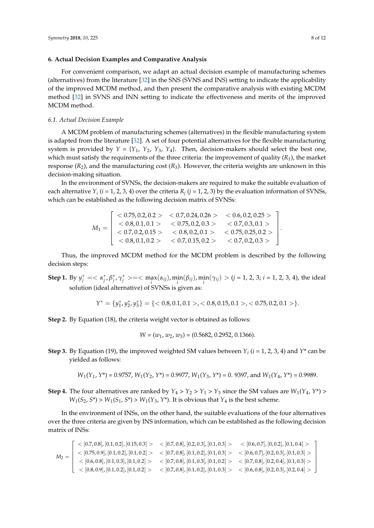## <span id="page-7-0"></span>**6. Actual Decision Examples and Comparative Analysis**

For convenient comparison, we adapt an actual decision example of manufacturing schemes (alternatives) from the literature [\[32\]](#page-11-1) in the SNS (SVNS and INS) setting to indicate the applicability of the improved MCDM method, and then present the comparative analysis with existing MCDM method [\[32\]](#page-11-1) in SVNS and INN setting to indicate the effectiveness and merits of the improved MCDM method.

## *6.1. Actual Decision Example*

A MCDM problem of manufacturing schemes (alternatives) in the flexible manufacturing system is adapted from the literature [\[32\]](#page-11-1). A set of four potential alternatives for the flexible manufacturing system is provided by  $Y = \{Y_1, Y_2, Y_3, Y_4\}$ . Then, decision-makers should select the best one, which must satisfy the requirements of the three criteria: the improvement of quality (*R*1), the market response  $(R_2)$ , and the manufacturing cost  $(R_3)$ . However, the criteria weights are unknown in this decision-making situation.

In the environment of SVNSs, the decision-makers are required to make the suitable evaluation of each alternative  $Y_i$  ( $i$  = 1, 2, 3, 4) over the criteria  $R_j$  ( $j$  = 1, 2, 3) by the evaluation information of SVNSs, which can be established as the following decision matrix of SVNSs:

$$
M_1 = \left[\begin{array}{cccc} <0.75, 0.2, 0.2> & <0.7, 0.24, 0.26> & <0.6, 0.2, 0.25> \\ <0.8, 0.1, 0.1> & <0.75, 0.2, 0.3> & <0.7, 0.3, 0.1> \\ <0.7, 0.2, 0.15> & <0.8, 0.2, 0.1> & <0.75, 0.25, 0.2> \\ <0.8, 0.1, 0.2> & <0.7, 0.15, 0.2> & <0.7, 0.2, 0.3> \end{array}\right]
$$

Thus, the improved MCDM method for the MCDM problem is described by the following decision steps:

**Step 1.** By  $y_j^* = \langle \alpha_j^*, \beta_j^*, \gamma_j^* \rangle = \langle \max_i(\alpha_{ij}), \min_i(\beta_{ij}), \min_i(\gamma_{ij}) \rangle$   $(j = 1, 2, 3; i = 1, 2, 3, 4)$ , the ideal solution (ideal alternative) of SVNSs is given as:

$$
Y^* = \{y_1^*, y_2^*, y_3^*\} = \{<0.8, 0.1, 0.1>, <0.8, 0.15, 0.1>, <0.75, 0.2, 0.1>\}.
$$

**Step 2.** By Equation (18), the criteria weight vector is obtained as follows:

$$
W = (w_1, w_2, w_3) = (0.5682, 0.2952, 0.1366).
$$

**Step 3.** By Equation (19), the improved weighted SM values between  $Y_i$  ( $i = 1, 2, 3, 4$ ) and  $Y^*$  can be yielded as follows:

$$
W_1(Y_1, Y^*) = 0.9757
$$
,  $W_1(Y_2, Y^*) = 0.9977$ ,  $W_1(Y_3, Y^*) = 0.9397$ , and  $W_1(Y_4, Y^*) = 0.9989$ .

**Step 4.** The four alternatives are ranked by  $Y_4 > Y_2 > Y_1 > Y_3$  since the SM values are  $W_1(Y_4, Y^*)$  $W_1(S_2, S^*)$  >  $W_1(S_1, S^*)$  >  $W_1(Y_3, Y^*)$ . It is obvious that  $Y_4$  is the best scheme.

In the environment of INSs, on the other hand, the suitable evaluations of the four alternatives over the three criteria are given by INS information, which can be established as the following decision matrix of INSs:

$$
M_2 = \left[\begin{array}{l|l} < [0.7, 0.8], [0.1, 0.2], [0.15, 0.3] > < [0.7, 0.8], [0.2, 0.3], [0.1, 0.3] > < [0.6, 0.7], [0, 0.2], [0.1, 0.4] > \\ < [0.75, 0.9], [0.1, 0.2], [0.1, 0.2] > < [0.7, 0.8], [0.1, 0.2], [0.1, 0.3] > < [0.6, 0.7], [0.2, 0.3], [0.1, 0.3] > \\ < [0.6, 0.8], [0.1, 0.3], [0.1, 0.2] > < [0.7, 0.8], [0.1, 0.3] > < [0.7, 0.8], [0.2, 0.4], [0.1, 0.3] > \\ < [0.8, 0.9], [0.1, 0.2], [0.1, 0.2] > < [0.7, 0.8], [0.1, 0.3] > < [0.6, 0.8], [0.2, 0.3], [0.2, 0.4] > \end{array}\right]
$$

.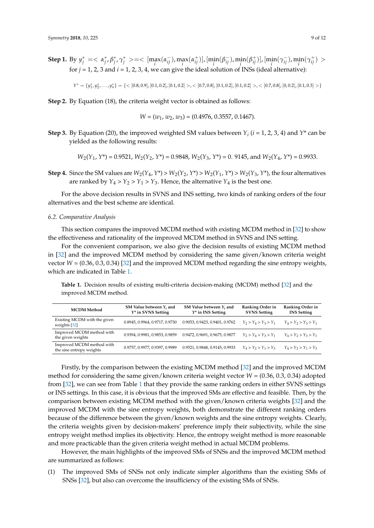**Step 1.** By  $y_j^* = \langle \alpha_j^*, \beta_j^*, \gamma_j^* \rangle = \langle [\max_i(\alpha_{ij}^-), \max_i(\alpha_{ij}^+)]$ ,  $[\min_i(\beta_{ij}^-), \min_i(\beta_{ij}^+)]$ ,  $[\min_i(\gamma_{ij}^-), \min_i(\gamma_{ij}^+) \rangle$ for  $j = 1, 2, 3$  and  $i = 1, 2, 3, 4$ , we can give the ideal solution of INSs (ideal alternative):

 $Y^* = \{y_1^*, y_2^*, \ldots, y_n^*\} = \{< [0.8, 0.9], [0.1, 0.2], [0.1, 0.2]>, < [0.7, 0.8], [0.1, 0.2], [0.1, 0.2], [0.1, 0.2], [0.0.2], [0.0.2], [0.1, 0.3] > \}$ 

**Step 2.** By Equation (18), the criteria weight vector is obtained as follows:

$$
W=(w_1,\,w_2,\,w_3)=(0.4976,\,0.3557,\,0.1467).
$$

**Step 3.** By Equation (20), the improved weighted SM values between  $Y_i$  ( $i = 1, 2, 3, 4$ ) and  $Y^*$  can be yielded as the following results:

$$
W_2(Y_1, Y^*) = 0.9521
$$
,  $W_2(Y_2, Y^*) = 0.9848$ ,  $W_2(Y_3, Y^*) = 0$ . 9145, and  $W_2(Y_4, Y^*) = 0.9933$ .

**Step 4.** Since the SM values are  $W_2(Y_4, Y^*) > W_2(Y_2, Y^*) > W_2(Y_1, Y^*) > W_2(Y_3, Y^*)$ , the four alternatives are ranked by  $Y_4 > Y_2 > Y_1 > Y_3$ . Hence, the alternative  $Y_4$  is the best one.

For the above decision results in SVNS and INS setting, two kinds of ranking orders of the four alternatives and the best scheme are identical.

#### *6.2. Comparative Analysis*

This section compares the improved MCDM method with existing MCDM method in [\[32\]](#page-11-1) to show the effectiveness and rationality of the improved MCDM method in SVNS and INS setting.

For the convenient comparison, we also give the decision results of existing MCDM method in [\[32\]](#page-11-1) and the improved MCDM method by considering the same given/known criteria weight vector  $W = (0.36, 0.3, 0.34)$  [\[32\]](#page-11-1) and the improved MCDM method regarding the sine entropy weights, which are indicated in Table [1.](#page-8-0)

<span id="page-8-0"></span>**Table 1.** Decision results of existing multi-criteria decision-making (MCDM) method [\[32\]](#page-11-1) and the improved MCDM method.

| <b>MCDM</b> Method                                    | SM Value between $Y_i$ and<br>$Y^*$ in SVNS Setting | SM Value between $Y_i$ and<br>$Y^*$ in INS Setting | Ranking Order in<br><b>SVNS Setting</b> | Ranking Order in<br><b>INS</b> Setting |
|-------------------------------------------------------|-----------------------------------------------------|----------------------------------------------------|-----------------------------------------|----------------------------------------|
| Existing MCDM with the given<br>weights $[32]$        | 0.8945, 0.9964, 0.9717, 0.9730                      | 0.9053, 0.9423, 0.9401, 0.9762                     | $Y_2 > Y_4 > Y_3 > Y_1$                 | $Y_4 > Y_2 > Y_3 > Y_1$                |
| Improved MCDM method with<br>the given weights        | 0.9394, 0.9981, 0.9853, 0.9859                      | 0.9472, 0.9691, 0.9675, 0.9877                     | $Y_2 > Y_4 > Y_3 > Y_1$                 | $Y_4 > Y_2 > Y_3 > Y_1$                |
| Improved MCDM method with<br>the sine entropy weights | 0.9757, 0.9977, 0.9397, 0.9989                      | 0.9521, 0.9848, 0.9145, 0.9933                     | $Y_4 > Y_2 > Y_1 > Y_3$                 | $Y_4 > Y_2 > Y_1 > Y_3$                |

Firstly, by the comparison between the existing MCDM method [\[32\]](#page-11-1) and the improved MCDM method for considering the same given/known criteria weight vector *W* = (0.36, 0.3, 0.34) adopted from [\[32\]](#page-11-1), we can see from Table [1](#page-8-0) that they provide the same ranking orders in either SVNS settings or INS settings. In this case, it is obvious that the improved SMs are effective and feasible. Then, by the comparison between existing MCDM method with the given/known criteria weights [\[32\]](#page-11-1) and the improved MCDM with the sine entropy weights, both demonstrate the different ranking orders because of the difference between the given/known weights and the sine entropy weights. Clearly, the criteria weights given by decision-makers' preference imply their subjectivity, while the sine entropy weight method implies its objectivity. Hence, the entropy weight method is more reasonable and more practicable than the given criteria weight method in actual MCDM problems.

However, the main highlights of the improved SMs of SNSs and the improved MCDM method are summarized as follows:

(1) The improved SMs of SNSs not only indicate simpler algorithms than the existing SMs of SNSs [\[32\]](#page-11-1), but also can overcome the insufficiency of the existing SMs of SNSs.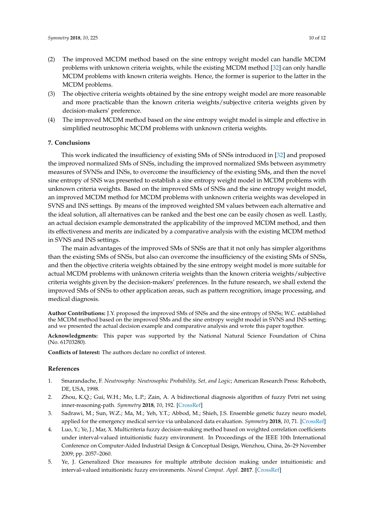- (2) The improved MCDM method based on the sine entropy weight model can handle MCDM problems with unknown criteria weights, while the existing MCDM method [\[32\]](#page-11-1) can only handle MCDM problems with known criteria weights. Hence, the former is superior to the latter in the MCDM problems.
- (3) The objective criteria weights obtained by the sine entropy weight model are more reasonable and more practicable than the known criteria weights/subjective criteria weights given by decision-makers' preference.
- (4) The improved MCDM method based on the sine entropy weight model is simple and effective in simplified neutrosophic MCDM problems with unknown criteria weights.

## <span id="page-9-3"></span>**7. Conclusions**

This work indicated the insufficiency of existing SMs of SNSs introduced in [\[32\]](#page-11-1) and proposed the improved normalized SMs of SNSs, including the improved normalized SMs between asymmetry measures of SVNSs and INSs, to overcome the insufficiency of the existing SMs, and then the novel sine entropy of SNS was presented to establish a sine entropy weight model in MCDM problems with unknown criteria weights. Based on the improved SMs of SNSs and the sine entropy weight model, an improved MCDM method for MCDM problems with unknown criteria weights was developed in SVNS and INS settings. By means of the improved weighted SM values between each alternative and the ideal solution, all alternatives can be ranked and the best one can be easily chosen as well. Lastly, an actual decision example demonstrated the applicability of the improved MCDM method, and then its effectiveness and merits are indicated by a comparative analysis with the existing MCDM method in SVNS and INS settings.

The main advantages of the improved SMs of SNSs are that it not only has simpler algorithms than the existing SMs of SNSs, but also can overcome the insufficiency of the existing SMs of SNSs, and then the objective criteria weights obtained by the sine entropy weight model is more suitable for actual MCDM problems with unknown criteria weights than the known criteria weights/subjective criteria weights given by the decision-makers' preferences. In the future research, we shall extend the improved SMs of SNSs to other application areas, such as pattern recognition, image processing, and medical diagnosis.

**Author Contributions:** J.Y. proposed the improved SMs of SNSs and the sine entropy of SNSs; W.C. established the MCDM method based on the improved SMs and the sine entropy weight model in SVNS and INS setting; and we presented the actual decision example and comparative analysis and wrote this paper together.

**Acknowledgments:** This paper was supported by the National Natural Science Foundation of China (No. 61703280).

**Conflicts of Interest:** The authors declare no conflict of interest.

#### **References**

- <span id="page-9-0"></span>1. Smarandache, F. *Neutrosophy: Neutrosophic Probability, Set, and Logic*; American Research Press: Rehoboth, DE, USA, 1998.
- <span id="page-9-1"></span>2. Zhou, K.Q.; Gui, W.H.; Mo, L.P.; Zain, A. A bidirectional diagnosis algorithm of fuzzy Petri net using inner-reasoning-path. *Symmetry* **2018**, *10*, 192. [\[CrossRef\]](http://dx.doi.org/10.3390/sym10060192)
- 3. Sadrawi, M.; Sun, W.Z.; Ma, M.; Yeh, Y.T.; Abbod, M.; Shieh, J.S. Ensemble genetic fuzzy neuro model, applied for the emergency medical service via unbalanced data evaluation. *Symmetry* **2018**, *10*, 71. [\[CrossRef\]](http://dx.doi.org/10.3390/sym10030071)
- 4. Luo, Y.; Ye, J.; Mar, X. Multicriteria fuzzy decision-making method based on weighted correlation coefficients under interval-valued intuitionistic fuzzy environment. In Proceedings of the IEEE 10th International Conference on Computer-Aided Industrial Design & Conceptual Design, Wenzhou, China, 26–29 November 2009; pp. 2057–2060.
- <span id="page-9-2"></span>5. Ye, J. Generalized Dice measures for multiple attribute decision making under intuitionistic and interval-valued intuitionistic fuzzy environments. *Neural Comput. Appl.* **2017**. [\[CrossRef\]](http://dx.doi.org/10.1007/s00521-017-2947-2)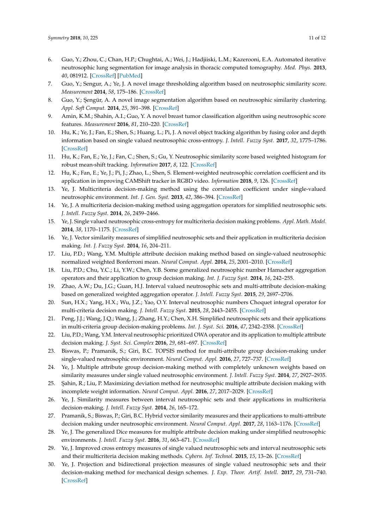- <span id="page-10-0"></span>6. Guo, Y.; Zhou, C.; Chan, H.P.; Chughtai, A.; Wei, J.; Hadjiiski, L.M.; Kazerooni, E.A. Automated iterative neutrosophic lung segmentation for image analysis in thoracic computed tomography. *Med. Phys.* **2013**, *40*, 081912. [\[CrossRef\]](http://dx.doi.org/10.1118/1.4812679) [\[PubMed\]](http://www.ncbi.nlm.nih.gov/pubmed/23927326)
- 7. Guo, Y.; Sengur, A.; Ye, J. A novel image thresholding algorithm based on neutrosophic similarity score. *Measurement* **2014**, *58*, 175–186. [\[CrossRef\]](http://dx.doi.org/10.1016/j.measurement.2014.08.039)
- 8. Guo, Y.; Şengür, A. A novel image segmentation algorithm based on neutrosophic similarity clustering. *Appl. Soft Comput.* **2014**, *25*, 391–398. [\[CrossRef\]](http://dx.doi.org/10.1016/j.asoc.2014.08.066)
- <span id="page-10-1"></span>9. Amin, K.M.; Shahin, A.I.; Guo, Y. A novel breast tumor classification algorithm using neutrosophic score features. *Measurement* **2016**, *81*, 210–220. [\[CrossRef\]](http://dx.doi.org/10.1016/j.measurement.2015.12.013)
- <span id="page-10-2"></span>10. Hu, K.; Ye, J.; Fan, E.; Shen, S.; Huang, L.; Pi, J. A novel object tracking algorithm by fusing color and depth information based on single valued neutrosophic cross-entropy. *J. Intell. Fuzzy Syst.* **2017**, *32*, 1775–1786. [\[CrossRef\]](http://dx.doi.org/10.3233/JIFS-152381)
- 11. Hu, K.; Fan, E.; Ye, J.; Fan, C.; Shen, S.; Gu, Y. Neutrosophic similarity score based weighted histogram for robust mean-shift tracking. *Information* **2017**, *8*, 122. [\[CrossRef\]](http://dx.doi.org/10.3390/info8040122)
- <span id="page-10-3"></span>12. Hu, K.; Fan, E.; Ye, J.; Pi, J.; Zhao, L.; Shen, S. Element-weighted neutrosophic correlation coefficient and its application in improving CAMShift tracker in RGBD video. *Information* **2018**, *9*, 126. [\[CrossRef\]](http://dx.doi.org/10.3390/info9050126)
- <span id="page-10-4"></span>13. Ye, J. Multicriteria decision-making method using the correlation coefficient under single-valued neutrosophic environment. *Int. J. Gen. Syst.* **2013**, *42*, 386–394. [\[CrossRef\]](http://dx.doi.org/10.1080/03081079.2012.761609)
- <span id="page-10-5"></span>14. Ye, J. A multicriteria decision-making method using aggregation operators for simplified neutrosophic sets. *J. Intell. Fuzzy Syst.* **2014**, *26*, 2459–2466.
- <span id="page-10-6"></span>15. Ye, J. Single valued neutrosophic cross-entropy for multicriteria decision making problems. *Appl. Math. Model.* **2014**, *38*, 1170–1175. [\[CrossRef\]](http://dx.doi.org/10.1016/j.apm.2013.07.020)
- <span id="page-10-9"></span>16. Ye, J. Vector similarity measures of simplified neutrosophic sets and their application in multicriteria decision making. *Int. J. Fuzzy Syst.* **2014**, *16*, 204–211.
- 17. Liu, P.D.; Wang, Y.M. Multiple attribute decision making method based on single-valued neutrosophic normalized weighted Bonferroni mean. *Neural Comput. Appl.* **2014**, *25*, 2001–2010. [\[CrossRef\]](http://dx.doi.org/10.1007/s00521-014-1688-8)
- 18. Liu, P.D.; Chu, Y.C.; Li, Y.W.; Chen, Y.B. Some generalized neutrosophic number Hamacher aggregation operators and their application to group decision making. *Int. J. Fuzzy Syst.* **2014**, *16*, 242–255.
- 19. Zhao, A.W.; Du, J.G.; Guan, H.J. Interval valued neutrosophic sets and multi-attribute decision-making based on generalized weighted aggregation operator. *J. Intell. Fuzzy Syst.* **2015**, *29*, 2697–2706.
- 20. Sun, H.X.; Yang, H.X.; Wu, J.Z.; Yao, O.Y. Interval neutrosophic numbers Choquet integral operator for multi-criteria decision making. *J. Intell. Fuzzy Syst.* **2015**, *28*, 2443–2455. [\[CrossRef\]](http://dx.doi.org/10.3233/IFS-141524)
- 21. Peng, J.J.; Wang, J.Q.; Wang, J.; Zhang, H.Y.; Chen, X.H. Simplified neutrosophic sets and their applications in multi-criteria group decision-making problems. *Int. J. Syst. Sci.* **2016**, *47*, 2342–2358. [\[CrossRef\]](http://dx.doi.org/10.1080/00207721.2014.994050)
- 22. Liu, P.D.; Wang, Y.M. Interval neutrosophic prioritized OWA operator and its application to multiple attribute decision making. *J. Syst. Sci. Complex* **2016**, *29*, 681–697. [\[CrossRef\]](http://dx.doi.org/10.1007/s11424-015-4010-7)
- 23. Biswas, P.; Pramanik, S.; Giri, B.C. TOPSIS method for multi-attribute group decision-making under single-valued neutrosophic environment. *Neural Comput. Appl.* **2016**, *27*, 727–737. [\[CrossRef\]](http://dx.doi.org/10.1007/s00521-015-1891-2)
- <span id="page-10-7"></span>24. Ye, J. Multiple attribute group decision-making method with completely unknown weights based on similarity measures under single valued neutrosophic environment. *J. Intell. Fuzzy Syst.* **2014**, *27*, 2927–2935.
- <span id="page-10-8"></span>25. Sahin, R.; Liu, P. Maximizing deviation method for neutrosophic multiple attribute decision making with incomplete weight information. *Neural Comput. Appl.* **2016**, *27*, 2017–2029. [\[CrossRef\]](http://dx.doi.org/10.1007/s00521-015-1995-8)
- <span id="page-10-10"></span>26. Ye, J. Similarity measures between interval neutrosophic sets and their applications in multicriteria decision-making. *J. Intell. Fuzzy Syst.* **2014**, *26*, 165–172.
- <span id="page-10-11"></span>27. Pramanik, S.; Biswas, P.; Giri, B.C. Hybrid vector similarity measures and their applications to multi-attribute decision making under neutrosophic environment. *Neural Comput. Appl.* **2017**, *28*, 1163–1176. [\[CrossRef\]](http://dx.doi.org/10.1007/s00521-015-2125-3)
- <span id="page-10-12"></span>28. Ye, J. The generalized Dice measures for multiple attribute decision making under simplified neutrosophic environments. *J. Intell. Fuzzy Syst.* **2016**, *31*, 663–671. [\[CrossRef\]](http://dx.doi.org/10.3233/IFS-162179)
- <span id="page-10-13"></span>29. Ye, J. Improved cross entropy measures of single valued neutrosophic sets and interval neutrosophic sets and their multicriteria decision making methods. *Cybern. Inf. Technol.* **2015**, *15*, 13–26. [\[CrossRef\]](http://dx.doi.org/10.1515/cait-2015-0051)
- <span id="page-10-14"></span>30. Ye, J. Projection and bidirectional projection measures of single valued neutrosophic sets and their decision-making method for mechanical design schemes. *J. Exp. Theor. Artif. Intell.* **2017**, *29*, 731–740. [\[CrossRef\]](http://dx.doi.org/10.1080/0952813X.2016.1259263)